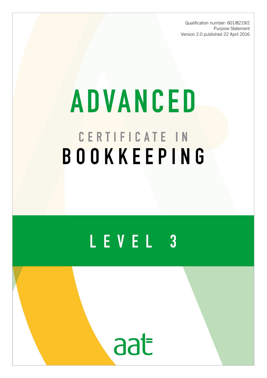Qualification number: 601/8219/2 Purpose Statement Version 2.0 published 22 April 2016

# **ADVANCED** CERTIFICATE IN BOOKKEEPING

## LEVEL 3

aat

AAT is a registered charity. No. 1050724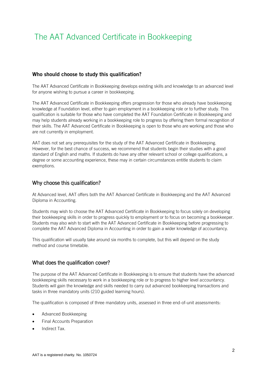### The AAT Advanced Certificate in Bookkeeping

#### **Who should choose to study this qualification?**

The AAT Advanced Certificate in Bookkeeping develops existing skills and knowledge to an advanced level for anyone wishing to pursue a career in bookkeeping.

The AAT Advanced Certificate in Bookkeeping offers progression for those who already have bookkeeping knowledge at Foundation level, either to gain employment in a bookkeeping role or to further study. This qualification is suitable for those who have completed the AAT Foundation Certificate in Bookkeeping and may help students already working in a bookkeeping role to progress by offering them formal recognition of their skills. The AAT Advanced Certificate in Bookkeeping is open to those who are working and those who are not currently in employment.

AAT does not set any prerequisites for the study of the AAT Advanced Certificate in Bookkeeping. However, for the best chance of success, we recommend that students begin their studies with a good standard of English and maths. If students do have any other relevant school or college qualifications, a degree or some accounting experience, these may in certain circumstances entitle students to claim exemptions.

#### Why choose this qualification?

At Advanced level, AAT offers both the AAT Advanced Certificate in Bookkeeping and the AAT Advanced Diploma in Accounting.

Students may wish to choose the AAT Advanced Certificate in Bookkeeping to focus solely on developing their bookkeeping skills in order to progress quickly to employment or to focus on becoming a bookkeeper. Students may also wish to start with the AAT Advanced Certificate in Bookkeeping before progressing to complete the AAT Advanced Diploma in Accounting in order to gain a wider knowledge of accountancy.

This qualification will usually take around six months to complete, but this will depend on the study method and course timetable.

#### What does the qualification cover?

The purpose of the AAT Advanced Certificate in Bookkeeping is to ensure that students have the advanced bookkeeping skills necessary to work in a bookkeeping role or to progress to higher level accountancy. Students will gain the knowledge and skills needed to carry out advanced bookkeeping transactions and tasks in three mandatory units (210 guided learning hours).

The qualification is composed of three mandatory units, assessed in three end-of-unit assessments:

- Advanced Bookkeeping
- Final Accounts Preparation
- Indirect Tax.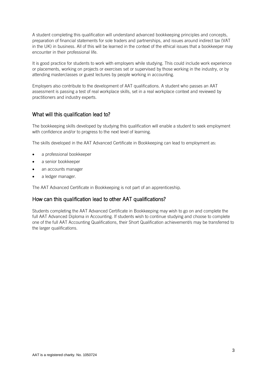A student completing this qualification will understand advanced bookkeeping principles and concepts, preparation of financial statements for sole traders and partnerships, and issues around indirect tax (VAT in the UK) in business. All of this will be learned in the context of the ethical issues that a bookkeeper may encounter in their professional life.

It is good practice for students to work with employers while studying. This could include work experience or placements, working on projects or exercises set or supervised by those working in the industry, or by attending masterclasses or guest lectures by people working in accounting.

Employers also contribute to the development of AAT qualifications. A student who passes an AAT assessment is passing a test of real workplace skills, set in a real workplace context and reviewed by practitioners and industry experts.

#### What will this qualification lead to?

The bookkeeping skills developed by studying this qualification will enable a student to seek employment with confidence and/or to progress to the next level of learning.

The skills developed in the AAT Advanced Certificate in Bookkeeping can lead to employment as:

- a professional bookkeeper
- a senior bookkeeper
- an accounts manager
- a ledger manager.

The AAT Advanced Certificate in Bookkeeping is not part of an apprenticeship.

#### How can this qualification lead to other AAT qualifications?

Students completing the AAT Advanced Certificate in Bookkeeping may wish to go on and complete the full AAT Advanced Diploma in Accounting. If students wish to continue studying and choose to complete one of the full AAT Accounting Qualifications, their Short Qualification achievement/s may be transferred to the larger qualifications.